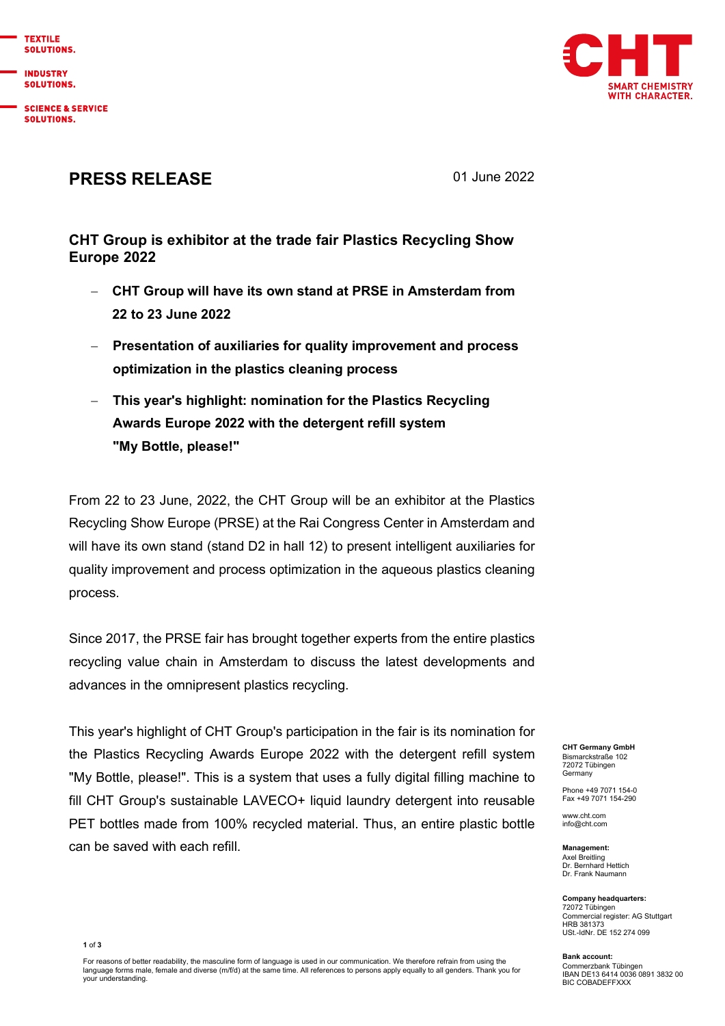**TEXTUE** SOLUTIONS.

**INDUSTRY SOLUTIONS.** 

**SCIENCE & SERVICE** SOLUTIONS.



## PRESS RELEASE 01 June 2022

## CHT Group is exhibitor at the trade fair Plastics Recycling Show Europe 2022

- CHT Group will have its own stand at PRSE in Amsterdam from 22 to 23 June 2022
- Presentation of auxiliaries for quality improvement and process optimization in the plastics cleaning process
- This year's highlight: nomination for the Plastics Recycling Awards Europe 2022 with the detergent refill system "My Bottle, please!"

From 22 to 23 June, 2022, the CHT Group will be an exhibitor at the Plastics Recycling Show Europe (PRSE) at the Rai Congress Center in Amsterdam and will have its own stand (stand D2 in hall 12) to present intelligent auxiliaries for quality improvement and process optimization in the aqueous plastics cleaning process.

Since 2017, the PRSE fair has brought together experts from the entire plastics recycling value chain in Amsterdam to discuss the latest developments and advances in the omnipresent plastics recycling.

This year's highlight of CHT Group's participation in the fair is its nomination for the Plastics Recycling Awards Europe 2022 with the detergent refill system "My Bottle, please!". This is a system that uses a fully digital filling machine to fill CHT Group's sustainable LAVECO+ liquid laundry detergent into reusable PET bottles made from 100% recycled material. Thus, an entire plastic bottle can be saved with each refill.

CHT Germany GmbH Bismarckstraße 102 72072 Tübingen Germany

Phone +49 7071 154-0 Fax +49 7071 154-290

www.cht.com info@cht.com

Management: Axel Breitling Dr. Bernhard Hettich Dr. Frank Naumann

Company headquarters: 72072 Tübingen Commercial register: AG Stuttgart HRB 381373 USt.-IdNr. DE 152 274 099

Bank account: Commerzbank Tübingen IBAN DE13 6414 0036 0891 3832 00 BIC COBADEFFXXX

1 of 3

For reasons of better readability, the masculine form of language is used in our communication. We therefore refrain from using the language forms male, female and diverse (m/f/d) at the same time. All references to persons apply equally to all genders. Thank you for your understanding.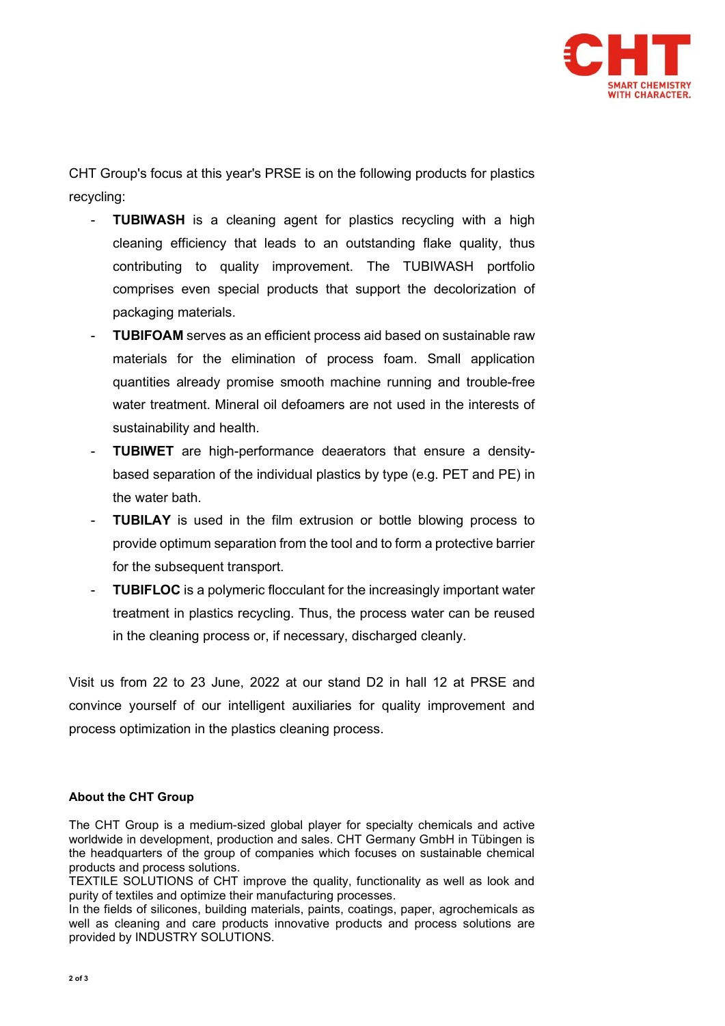

CHT Group's focus at this year's PRSE is on the following products for plastics recycling:

- **TUBIWASH** is a cleaning agent for plastics recycling with a high cleaning efficiency that leads to an outstanding flake quality, thus contributing to quality improvement. The TUBIWASH portfolio comprises even special products that support the decolorization of packaging materials.
- **TUBIFOAM** serves as an efficient process aid based on sustainable raw materials for the elimination of process foam. Small application quantities already promise smooth machine running and trouble-free water treatment. Mineral oil defoamers are not used in the interests of sustainability and health.
- **TUBIWET** are high-performance deaerators that ensure a densitybased separation of the individual plastics by type (e.g. PET and PE) in the water bath.
- TUBILAY is used in the film extrusion or bottle blowing process to provide optimum separation from the tool and to form a protective barrier for the subsequent transport.
- TUBIFLOC is a polymeric flocculant for the increasingly important water treatment in plastics recycling. Thus, the process water can be reused in the cleaning process or, if necessary, discharged cleanly.

Visit us from 22 to 23 June, 2022 at our stand D2 in hall 12 at PRSE and convince yourself of our intelligent auxiliaries for quality improvement and process optimization in the plastics cleaning process.

## About the CHT Group

The CHT Group is a medium-sized global player for specialty chemicals and active worldwide in development, production and sales. CHT Germany GmbH in Tübingen is the headquarters of the group of companies which focuses on sustainable chemical products and process solutions.

TEXTILE SOLUTIONS of CHT improve the quality, functionality as well as look and purity of textiles and optimize their manufacturing processes.

In the fields of silicones, building materials, paints, coatings, paper, agrochemicals as well as cleaning and care products innovative products and process solutions are provided by INDUSTRY SOLUTIONS.